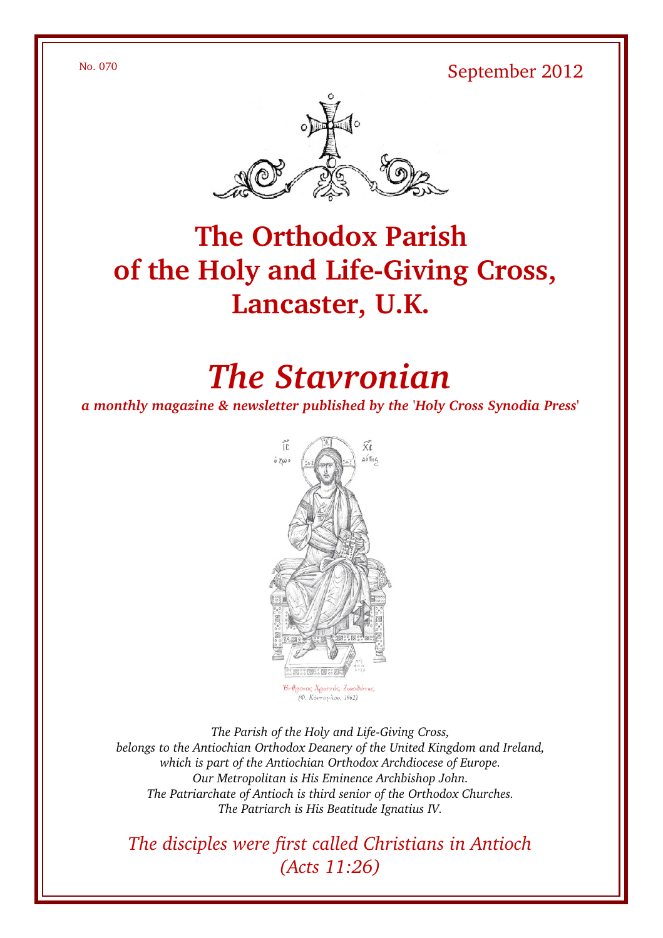No. 070 September 2012



## **The Orthodox Parish** of the Holy and Life-Giving Cross, **Lancaster, U.K.**

# *The Stavronian*

*a monthly magazine & newsletter published by the 'Holy Cross Synodia Press'*



The Parish of the Holy and Life-Giving Cross, *belongs to the Antiochian Orthodox Deanery of the United Kingdom and Ireland, which is part of the Antiochian Orthodox Archdiocese of Europe. Our Metropolitan is His Eminence Archbishop John. The Patriarchate of Antioch is third senior of the Orthodox Churches. The Patriarch is His Beatitude Ignatius IV.*

*The disciples were first called Christians in Antioch (Acts 11:26)*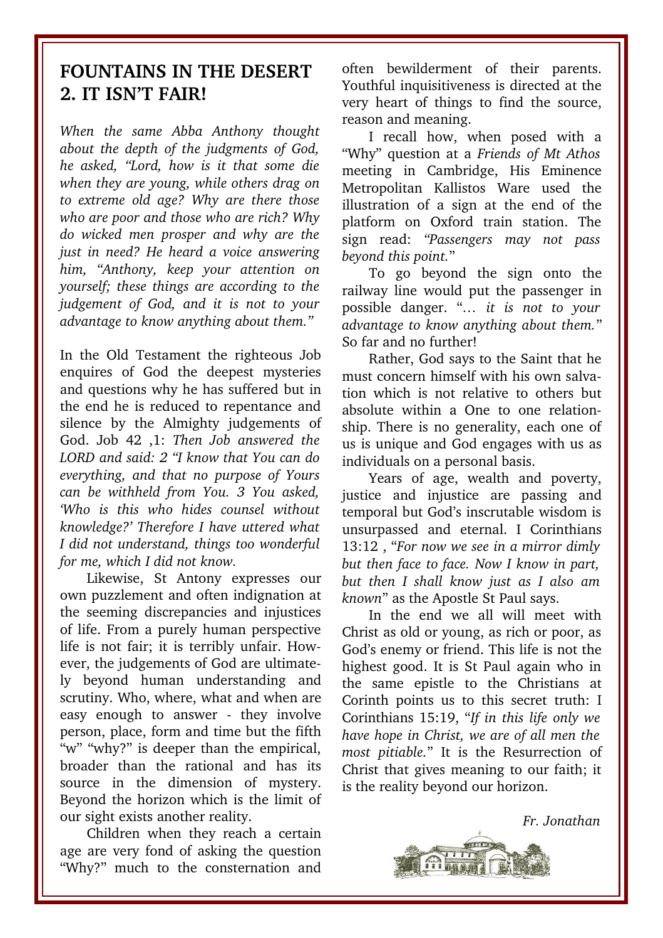### **FOUNTAINS IN THE DESERT 2. IT ISN'T FAIR!**

*When the same Abba Anthony thought about the depth of the judgments of God, he asked, "Lord, how is it that some die when they are young, while others drag on to extreme old age? Why are there those who are poor and those who are rich? Why do wicked men prosper and why are the just in need? He heard a voice answering him, "Anthony, keep your attention on yourself; these things are according to the judgement of God, and it is not to your advantage to know anything about them."* 

In the Old Testament the righteous Job enquires of God the deepest mysteries and questions why he has suffered but in the end he is reduced to repentance and silence by the Almighty judgements of God. Job 42 ,1: *Then Job answered the LORD and said: 2 "I know that You can do everything, and that no purpose of Yours can be withheld from You. 3 You asked, 'Who is this who hides counsel without knowledge?' Therefore I have uttered what I did not understand, things too wonderful for me, which I did not know.* 

Likewise, St Antony expresses our own puzzlement and often indignation at the seeming discrepancies and injustices of life. From a purely human perspective life is not fair; it is terribly unfair. However, the judgements of God are ultimately beyond human understanding and scrutiny. Who, where, what and when are easy enough to answer - they involve person, place, form and time but the fifth "w" "why?" is deeper than the empirical, broader than the rational and has its source in the dimension of mystery. Beyond the horizon which is the limit of our sight exists another reality.

Children when they reach a certain age are very fond of asking the question "Why?" much to the consternation and often bewilderment of their parents. Youthful inquisitiveness is directed at the very heart of things to find the source, reason and meaning.

I recall how, when posed with a "Why" question at a *Friends of Mt Athos* meeting in Cambridge, His Eminence Metropolitan Kallistos Ware used the illustration of a sign at the end of the platform on Oxford train station. The sign read: *"Passengers may not pass beyond this point.*"

To go beyond the sign onto the railway line would put the passenger in possible danger. "*… it is not to your advantage to know anything about them.*" So far and no further!

Rather, God says to the Saint that he must concern himself with his own salvation which is not relative to others but absolute within a One to one relationship. There is no generality, each one of us is unique and God engages with us as individuals on a personal basis.

Years of age, wealth and poverty, justice and injustice are passing and temporal but God's inscrutable wisdom is unsurpassed and eternal. I Corinthians 13:12 , "*For now we see in a mirror dimly but then face to face. Now I know in part, but then I shall know just as I also am known*" as the Apostle St Paul says.

In the end we all will meet with Christ as old or young, as rich or poor, as God's enemy or friend. This life is not the highest good. It is St Paul again who in the same epistle to the Christians at Corinth points us to this secret truth: I Corinthians 15:19, "*If in this life only we have hope in Christ, we are of all men the most pitiable.*" It is the Resurrection of Christ that gives meaning to our faith; it is the reality beyond our horizon.

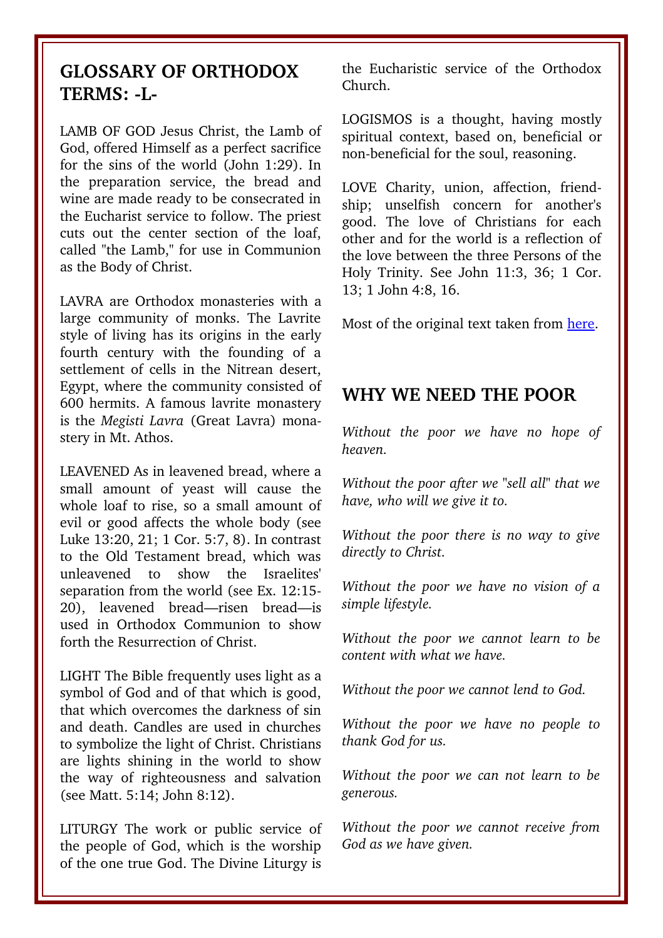#### **GLOSSARY OF ORTHODOX TERMS: L-**

LAMB OF GOD Jesus Christ, the Lamb of God, offered Himself as a perfect sacrifice for the sins of the world (John 1:29). In the preparation service, the bread and wine are made ready to be consecrated in the Eucharist service to follow. The priest cuts out the center section of the loaf, called "the Lamb," for use in Communion as the Body of Christ.

LAVRA are Orthodox monasteries with a large community of monks. The Lavrite style of living has its origins in the early fourth century with the founding of a settlement of cells in the Nitrean desert, Egypt, where the community consisted of 600 hermits. A famous lavrite monastery is the *Megisti Lavra* (Great Lavra) monastery in Mt. Athos.

LEAVENED As in leavened bread, where a small amount of yeast will cause the whole loaf to rise, so a small amount of evil or good affects the whole body (see Luke 13:20, 21; 1 Cor. 5:7, 8). In contrast to the Old Testament bread, which was unleavened to show the Israelites' separation from the world (see Ex. 12:15 20), leavened bread—risen bread—is used in Orthodox Communion to show forth the Resurrection of Christ.

LIGHT The Bible frequently uses light as a symbol of God and of that which is good, that which overcomes the darkness of sin and death. Candles are used in churches to symbolize the light of Christ. Christians are lights shining in the world to show the way of righteousness and salvation (see Matt. 5:14; John 8:12).

LITURGY The work or public service of the people of God, which is the worship of the one true God. The Divine Liturgy is the Eucharistic service of the Orthodox Church.

LOGISMOS is a thought, having mostly spiritual context, based on, beneficial or non-beneficial for the soul, reasoning.

LOVE Charity, union, affection, friendship; unselfish concern for another's good. The love of Christians for each other and for the world is a reflection of the love between the three Persons of the Holy Trinity. See John 11:3, 36; 1 Cor. 13; 1 John 4:8, 16.

Most of the original text taken from [here.](http://www.antiochian.org/theology/glossary_of_orthodox_terminology.htm)

#### **WHY WE NEED THE POOR**

*Without the poor we have no hope of heaven.* 

*Without the poor after we "sell all" that we have, who will we give it to.* 

*Without the poor there is no way to give directly to Christ.* 

*Without the poor we have no vision of a simple lifestyle.* 

*Without the poor we cannot learn to be content with what we have.* 

*Without the poor we cannot lend to God.*

*Without the poor we have no people to thank God for us.*

*Without the poor we can not learn to be generous.* 

*Without the poor we cannot receive from God as we have given.*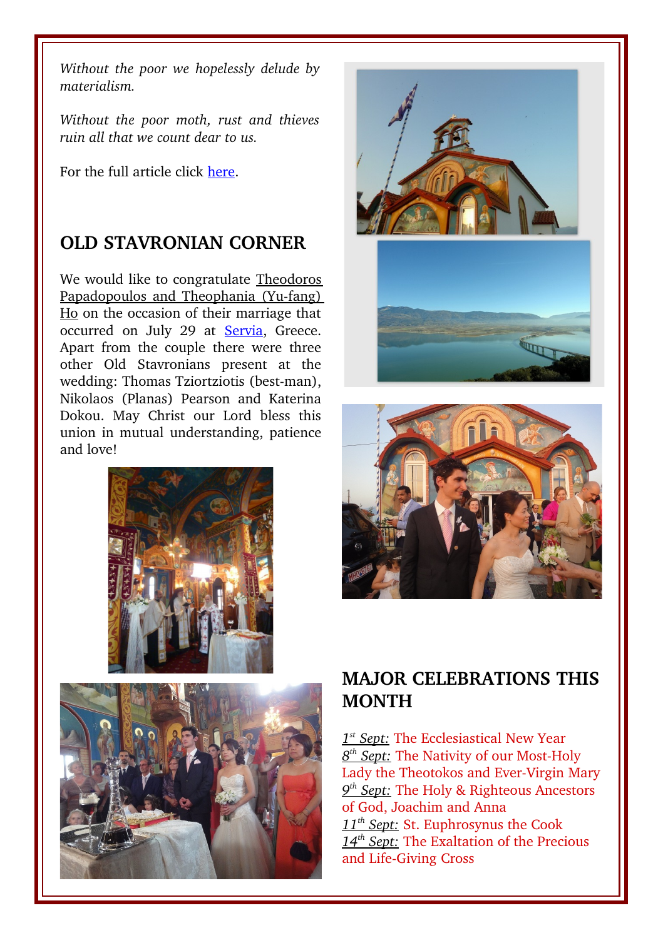*Without the poor we hopelessly delude by materialism.*

*Without the poor moth, rust and thieves ruin all that we count dear to us.* 

For the full article click [here.](http://www.saintjohnwonderworker.org/Why_Need_Poor.html)

## **OLD STAVRONIAN CORNER**

We would like to congratulate Theodoros Papadopoulos and Theophania (Yu-fang) Ho on the occasion of their marriage that occurred on July 29 at [Servia,](http://en.wikipedia.org/wiki/Servia,_Greece) Greece. Apart from the couple there were three other Old Stavronians present at the wedding: Thomas Tziortziotis (best-man), Nikolaos (Planas) Pearson and Katerina Dokou. May Christ our Lord bless this union in mutual understanding, patience and love!









## **MAJOR CELEBRATIONS THIS MONTH**

 *1 st Sept:* The Ecclesiastical New Year  $8<sup>th</sup>$  Sept: The Nativity of our Most-Holy Lady the Theotokos and Ever-Virgin Mary  *9 th Sept:* The Holy & Righteous Ancestors of God, Joachim and Anna  *11th Sept:* St. Euphrosynus the Cook  *14th Sept:* The Exaltation of the Precious and Life-Giving Cross